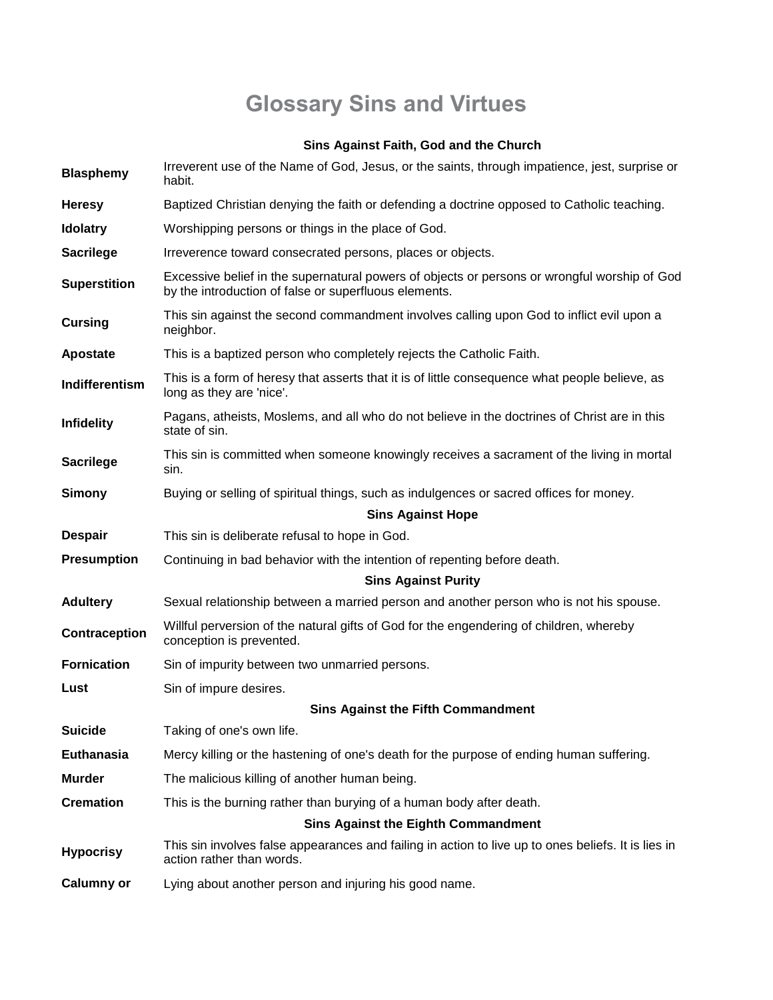## **Glossary Sins and Virtues**

## **Sins Against Faith, God and the Church**

| <b>Blasphemy</b>    | Irreverent use of the Name of God, Jesus, or the saints, through impatience, jest, surprise or<br>habit.                                              |
|---------------------|-------------------------------------------------------------------------------------------------------------------------------------------------------|
| <b>Heresy</b>       | Baptized Christian denying the faith or defending a doctrine opposed to Catholic teaching.                                                            |
| <b>Idolatry</b>     | Worshipping persons or things in the place of God.                                                                                                    |
| <b>Sacrilege</b>    | Irreverence toward consecrated persons, places or objects.                                                                                            |
| <b>Superstition</b> | Excessive belief in the supernatural powers of objects or persons or wrongful worship of God<br>by the introduction of false or superfluous elements. |
| <b>Cursing</b>      | This sin against the second commandment involves calling upon God to inflict evil upon a<br>neighbor.                                                 |
| Apostate            | This is a baptized person who completely rejects the Catholic Faith.                                                                                  |
| Indifferentism      | This is a form of heresy that asserts that it is of little consequence what people believe, as<br>long as they are 'nice'.                            |
| <b>Infidelity</b>   | Pagans, atheists, Moslems, and all who do not believe in the doctrines of Christ are in this<br>state of sin.                                         |
| <b>Sacrilege</b>    | This sin is committed when someone knowingly receives a sacrament of the living in mortal<br>sin.                                                     |
| Simony              | Buying or selling of spiritual things, such as indulgences or sacred offices for money.                                                               |
|                     | <b>Sins Against Hope</b>                                                                                                                              |
| <b>Despair</b>      | This sin is deliberate refusal to hope in God.                                                                                                        |
| <b>Presumption</b>  | Continuing in bad behavior with the intention of repenting before death.                                                                              |
|                     | <b>Sins Against Purity</b>                                                                                                                            |
| <b>Adultery</b>     | Sexual relationship between a married person and another person who is not his spouse.                                                                |
| Contraception       | Willful perversion of the natural gifts of God for the engendering of children, whereby<br>conception is prevented.                                   |
| <b>Fornication</b>  | Sin of impurity between two unmarried persons.                                                                                                        |
| Lust                | Sin of impure desires.                                                                                                                                |
|                     | <b>Sins Against the Fifth Commandment</b>                                                                                                             |
| <b>Suicide</b>      | Taking of one's own life.                                                                                                                             |
| Euthanasia          | Mercy killing or the hastening of one's death for the purpose of ending human suffering.                                                              |
| <b>Murder</b>       | The malicious killing of another human being.                                                                                                         |
| <b>Cremation</b>    | This is the burning rather than burying of a human body after death.                                                                                  |
|                     | <b>Sins Against the Eighth Commandment</b>                                                                                                            |
| <b>Hypocrisy</b>    | This sin involves false appearances and failing in action to live up to ones beliefs. It is lies in<br>action rather than words.                      |
| <b>Calumny or</b>   | Lying about another person and injuring his good name.                                                                                                |